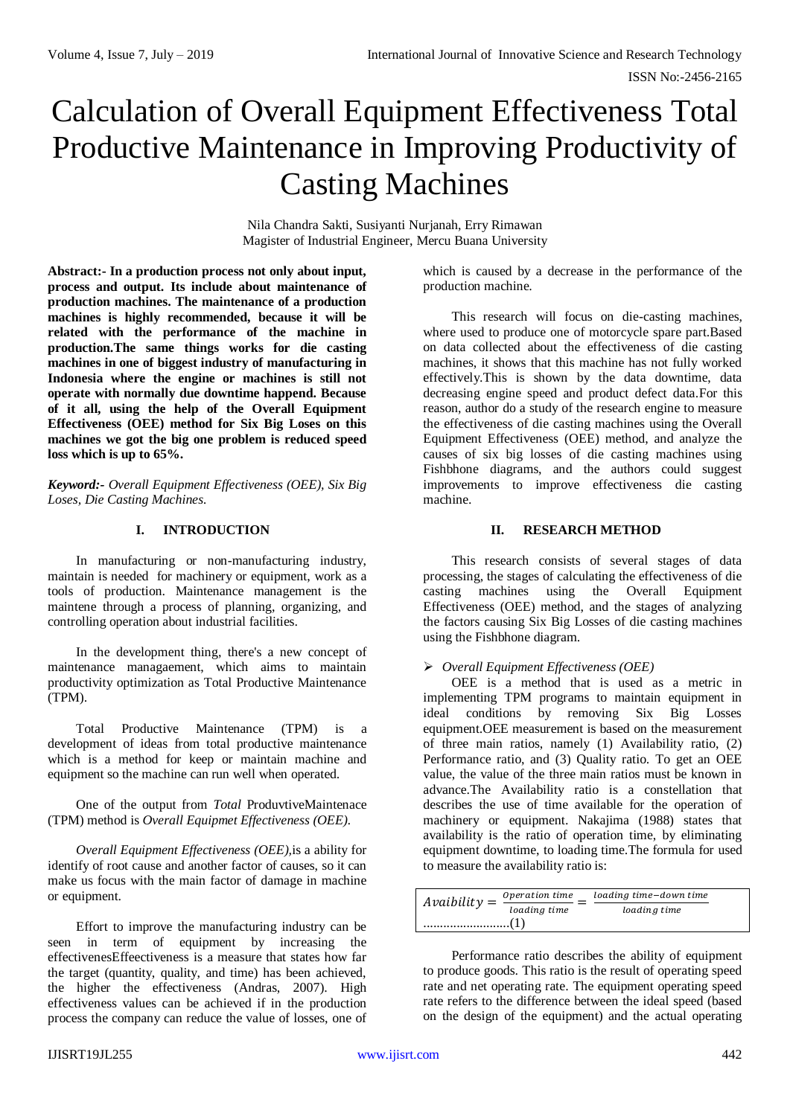ISSN No:-2456-2165

# Calculation of Overall Equipment Effectiveness Total Productive Maintenance in Improving Productivity of Casting Machines

Nila Chandra Sakti, Susiyanti Nurjanah, Erry Rimawan Magister of Industrial Engineer, Mercu Buana University

**Abstract:- In a production process not only about input, process and output. Its include about maintenance of production machines. The maintenance of a production machines is highly recommended, because it will be related with the performance of the machine in production.The same things works for die casting machines in one of biggest industry of manufacturing in Indonesia where the engine or machines is still not operate with normally due downtime happend. Because of it all, using the help of the Overall Equipment Effectiveness (OEE) method for Six Big Loses on this machines we got the big one problem is reduced speed loss which is up to 65%.**

*Keyword:- Overall Equipment Effectiveness (OEE), Six Big Loses, Die Casting Machines.*

## **I. INTRODUCTION**

In manufacturing or non-manufacturing industry, maintain is needed for machinery or equipment, work as a tools of production. Maintenance management is the maintene through a process of planning, organizing, and controlling operation about industrial facilities.

In the development thing, there's a new concept of maintenance managaement, which aims to maintain productivity optimization as Total Productive Maintenance (TPM).

Total Productive Maintenance (TPM) is a development of ideas from total productive maintenance which is a method for keep or maintain machine and equipment so the machine can run well when operated.

One of the output from *Total* ProduvtiveMaintenace (TPM) method is *Overall Equipmet Effectiveness (OEE).*

*Overall Equipment Effectiveness (OEE),*is a ability for identify of root cause and another factor of causes, so it can make us focus with the main factor of damage in machine or equipment.

Effort to improve the manufacturing industry can be seen in term of equipment by increasing the effectivenesEffeectiveness is a measure that states how far the target (quantity, quality, and time) has been achieved, the higher the effectiveness (Andras, 2007). High effectiveness values can be achieved if in the production process the company can reduce the value of losses, one of which is caused by a decrease in the performance of the production machine.

This research will focus on die-casting machines, where used to produce one of motorcycle spare part.Based on data collected about the effectiveness of die casting machines, it shows that this machine has not fully worked effectively.This is shown by the data downtime, data decreasing engine speed and product defect data.For this reason, author do a study of the research engine to measure the effectiveness of die casting machines using the Overall Equipment Effectiveness (OEE) method, and analyze the causes of six big losses of die casting machines using Fishbhone diagrams, and the authors could suggest improvements to improve effectiveness die casting machine.

## **II. RESEARCH METHOD**

This research consists of several stages of data processing, the stages of calculating the effectiveness of die casting machines using the Overall Equipment Effectiveness (OEE) method, and the stages of analyzing the factors causing Six Big Losses of die casting machines using the Fishbhone diagram.

## *Overall Equipment Effectiveness (OEE)*

OEE is a method that is used as a metric in implementing TPM programs to maintain equipment in ideal conditions by removing Six Big Losses equipment.OEE measurement is based on the measurement of three main ratios, namely (1) Availability ratio, (2) Performance ratio, and (3) Quality ratio. To get an OEE value, the value of the three main ratios must be known in advance.The Availability ratio is a constellation that describes the use of time available for the operation of machinery or equipment. Nakajima (1988) states that availability is the ratio of operation time, by eliminating equipment downtime, to loading time.The formula for used to measure the availability ratio is:

| $Avability =$ | Operation time<br>loading time | loading time-down time<br>loading time |
|---------------|--------------------------------|----------------------------------------|
|               |                                |                                        |

Performance ratio describes the ability of equipment to produce goods. This ratio is the result of operating speed rate and net operating rate. The equipment operating speed rate refers to the difference between the ideal speed (based on the design of the equipment) and the actual operating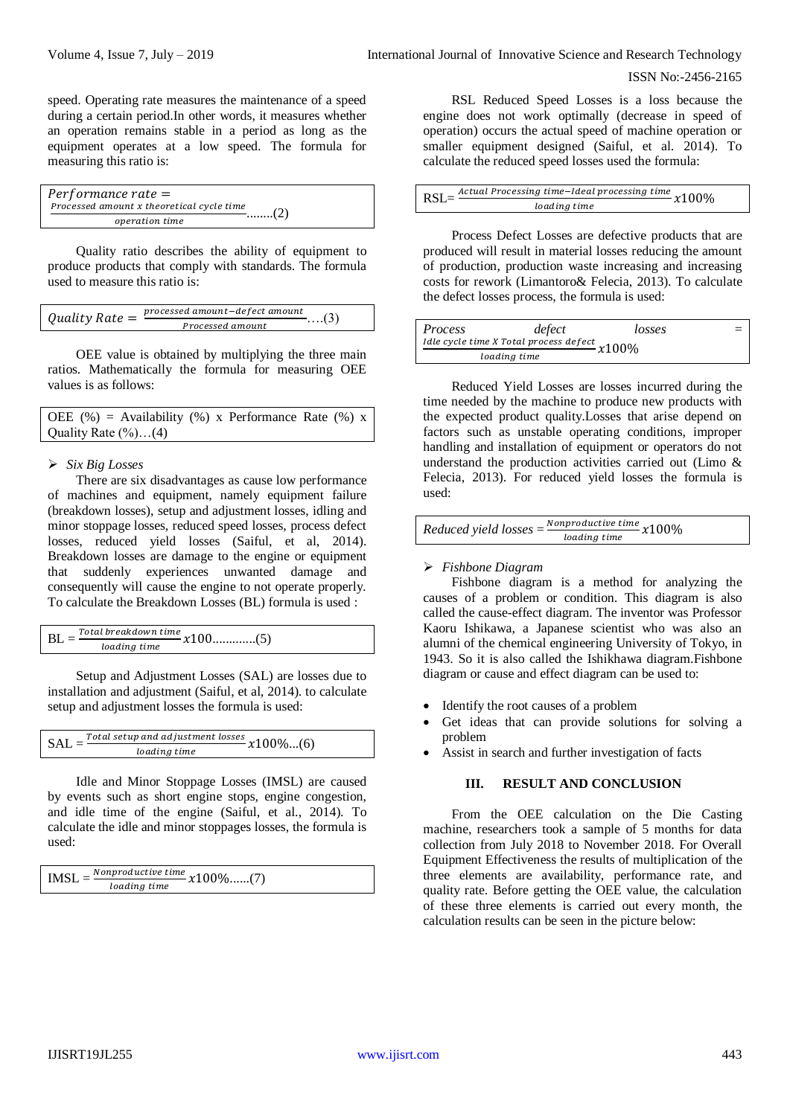speed. Operating rate measures the maintenance of a speed during a certain period.In other words, it measures whether an operation remains stable in a period as long as the equipment operates at a low speed. The formula for measuring this ratio is:

| $Performance rate =$                      |     |
|-------------------------------------------|-----|
| Processed amount x theoretical cycle time | (2) |
| operation time                            |     |

Quality ratio describes the ability of equipment to produce products that comply with standards. The formula used to measure this ratio is:

| Processed amount | Quality Rate $=$ | processed amount-defect amount | $\dots(3)$ |
|------------------|------------------|--------------------------------|------------|
|                  |                  |                                |            |

OEE value is obtained by multiplying the three main ratios. Mathematically the formula for measuring OEE values is as follows:

| OEE $(\%)$ = Availability $(\%)$ x Performance Rate $(\%)$ x |  |  |  |
|--------------------------------------------------------------|--|--|--|
| Quality Rate $(\%)$ $(4)$                                    |  |  |  |

#### *Six Big Losses*

There are six disadvantages as cause low performance of machines and equipment, namely equipment failure (breakdown losses), setup and adjustment losses, idling and minor stoppage losses, reduced speed losses, process defect losses, reduced yield losses (Saiful, et al, 2014). Breakdown losses are damage to the engine or equipment that suddenly experiences unwanted damage and consequently will cause the engine to not operate properly. To calculate the Breakdown Losses (BL) formula is used :

|  |              | $\cdots$ $\cdots$ $\frac{Total \, breakdown \, time}{x100$ (5) |  |
|--|--------------|----------------------------------------------------------------|--|
|  | loading time |                                                                |  |

Setup and Adjustment Losses (SAL) are losses due to installation and adjustment (Saiful, et al, 2014). to calculate setup and adjustment losses the formula is used:

```
SAL = \frac{Total \, setup \, and \, adjustment \, losses}{leading \, times} \, x100\%...(6)loading time
```
Idle and Minor Stoppage Losses (IMSL) are caused by events such as short engine stops, engine congestion, and idle time of the engine (Saiful, et al., 2014). To calculate the idle and minor stoppages losses, the formula is used:

| <b>IMSL</b><br>loading time | Nonproductive time $x100\%$ (7) |
|-----------------------------|---------------------------------|
|                             |                                 |

RSL Reduced Speed Losses is a loss because the engine does not work optimally (decrease in speed of operation) occurs the actual speed of machine operation or smaller equipment designed (Saiful, et al. 2014). To calculate the reduced speed losses used the formula:

| RSL- | . Actual Processing time-Ideal processing time $x100\%$ |  |
|------|---------------------------------------------------------|--|
|      | loading time                                            |  |

Process Defect Losses are defective products that are produced will result in material losses reducing the amount of production, production waste increasing and increasing costs for rework (Limantoro& Felecia, 2013). To calculate the defect losses process, the formula is used:

| <i>Process</i>                                  | defect       | losses |  |  |
|-------------------------------------------------|--------------|--------|--|--|
| Idle cycle time X Total process defect $x100\%$ |              |        |  |  |
|                                                 | loading time |        |  |  |

Reduced Yield Losses are losses incurred during the time needed by the machine to produce new products with the expected product quality.Losses that arise depend on factors such as unstable operating conditions, improper handling and installation of equipment or operators do not understand the production activities carried out (Limo & Felecia, 2013). For reduced yield losses the formula is used:

 $Reduced yield losses = \frac{Nonproductive time}{lostine time} x100\%$ loading time

## *Fishbone Diagram*

Fishbone diagram is a method for analyzing the causes of a problem or condition. This diagram is also called the cause-effect diagram. The inventor was Professor Kaoru Ishikawa, a Japanese scientist who was also an alumni of the chemical engineering University of Tokyo, in 1943. So it is also called the Ishikhawa diagram.Fishbone diagram or cause and effect diagram can be used to:

- Identify the root causes of a problem
- Get ideas that can provide solutions for solving a problem
- Assist in search and further investigation of facts

#### **III. RESULT AND CONCLUSION**

From the OEE calculation on the Die Casting machine, researchers took a sample of 5 months for data collection from July 2018 to November 2018. For Overall Equipment Effectiveness the results of multiplication of the three elements are availability, performance rate, and quality rate. Before getting the OEE value, the calculation of these three elements is carried out every month, the calculation results can be seen in the picture below: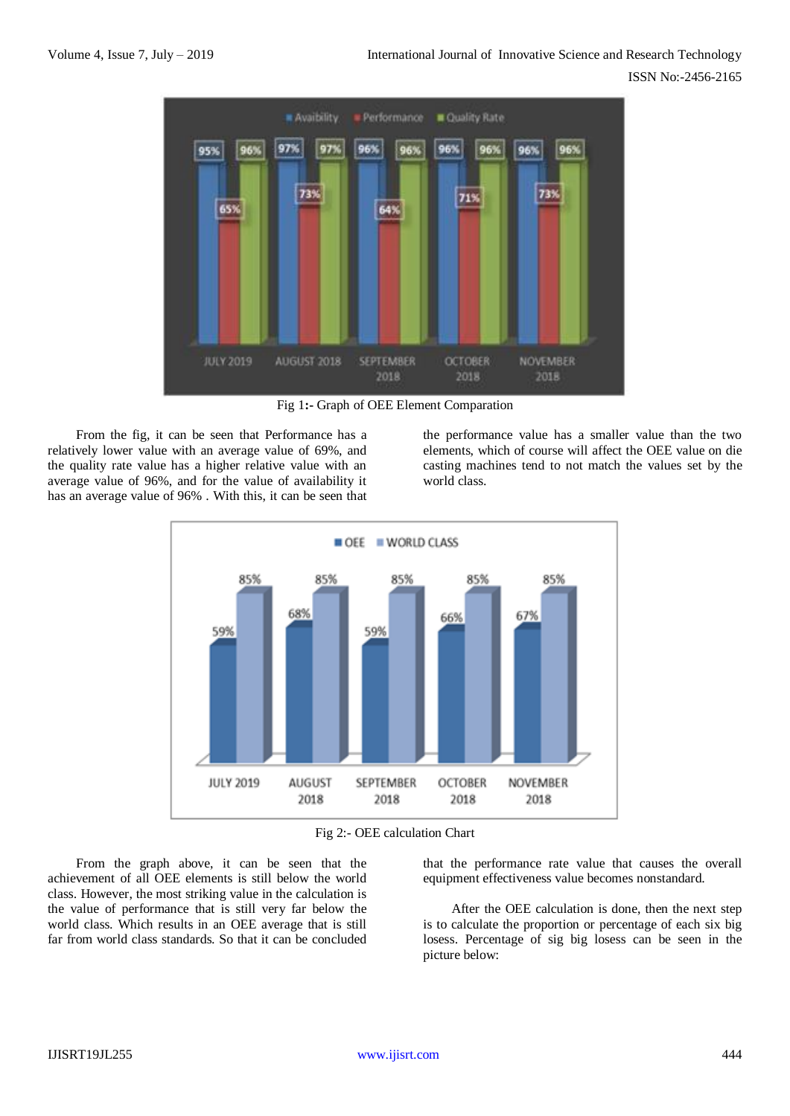

Fig 1**:-** Graph of OEE Element Comparation

From the fig, it can be seen that Performance has a relatively lower value with an average value of 69%, and the quality rate value has a higher relative value with an average value of 96%, and for the value of availability it has an average value of 96% . With this, it can be seen that

the performance value has a smaller value than the two elements, which of course will affect the OEE value on die casting machines tend to not match the values set by the world class.



Fig 2:- OEE calculation Chart

From the graph above, it can be seen that the achievement of all OEE elements is still below the world class. However, the most striking value in the calculation is the value of performance that is still very far below the world class. Which results in an OEE average that is still far from world class standards. So that it can be concluded

that the performance rate value that causes the overall equipment effectiveness value becomes nonstandard.

After the OEE calculation is done, then the next step is to calculate the proportion or percentage of each six big losess. Percentage of sig big losess can be seen in the picture below: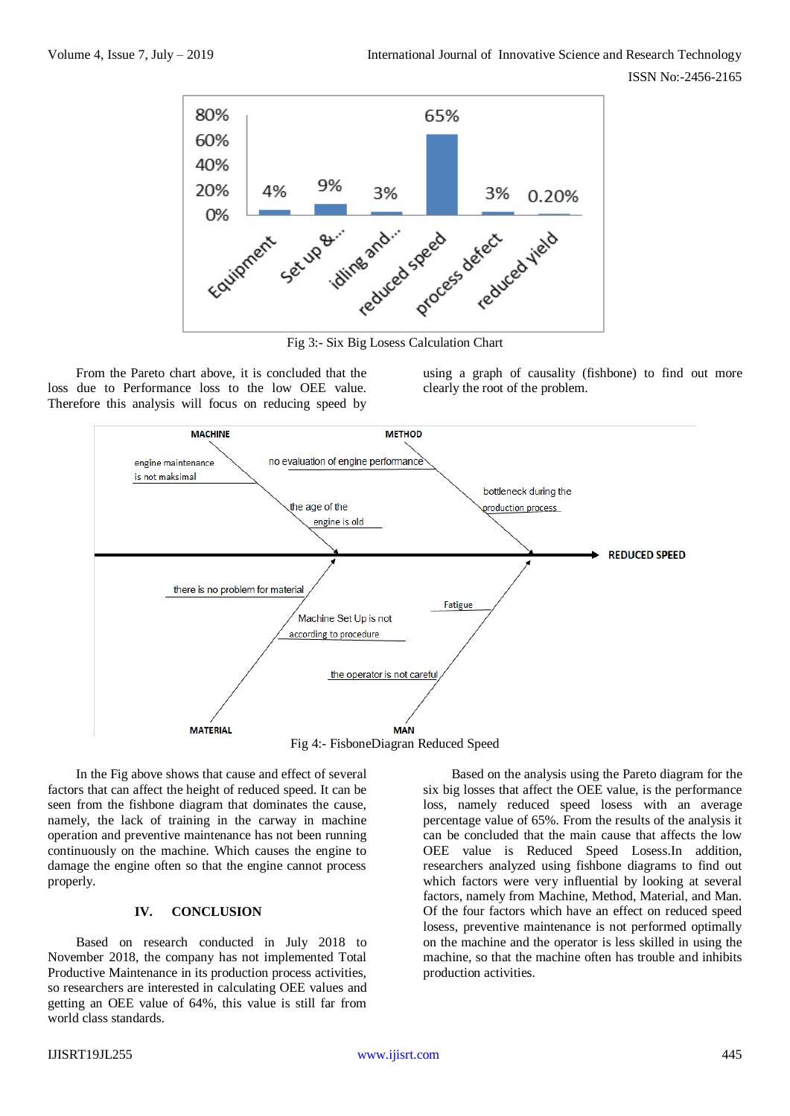

Fig 3:- Six Big Losess Calculation Chart

From the Pareto chart above, it is concluded that the loss due to Performance loss to the low OEE value. Therefore this analysis will focus on reducing speed by

using a graph of causality (fishbone) to find out more clearly the root of the problem.



In the Fig above shows that cause and effect of several factors that can affect the height of reduced speed. It can be seen from the fishbone diagram that dominates the cause, namely, the lack of training in the carway in machine operation and preventive maintenance has not been running continuously on the machine. Which causes the engine to damage the engine often so that the engine cannot process properly.

### **IV. CONCLUSION**

Based on research conducted in July 2018 to November 2018, the company has not implemented Total Productive Maintenance in its production process activities, so researchers are interested in calculating OEE values and getting an OEE value of 64%, this value is still far from world class standards.

Based on the analysis using the Pareto diagram for the six big losses that affect the OEE value, is the performance loss, namely reduced speed losess with an average percentage value of 65%. From the results of the analysis it can be concluded that the main cause that affects the low OEE value is Reduced Speed Losess.In addition, researchers analyzed using fishbone diagrams to find out which factors were very influential by looking at several factors, namely from Machine, Method, Material, and Man. Of the four factors which have an effect on reduced speed losess, preventive maintenance is not performed optimally on the machine and the operator is less skilled in using the machine, so that the machine often has trouble and inhibits production activities.